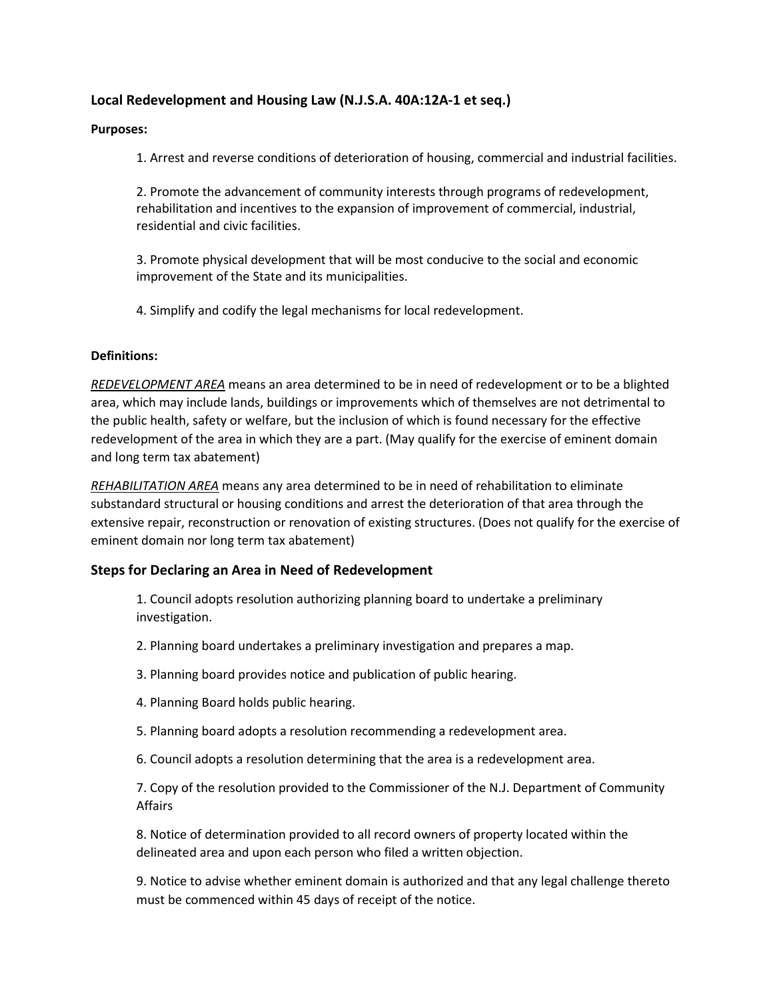# Local Redevelopment and Housing Law (N.J.S.A. 40A:12A-1 et seq.)

### Purposes:

1. Arrest and reverse conditions of deterioration of housing, commercial and industrial facilities.

 2. Promote the advancement of community interests through programs of redevelopment, rehabilitation and incentives to the expansion of improvement of commercial, industrial, residential and civic facilities.

 3. Promote physical development that will be most conducive to the social and economic improvement of the State and its municipalities.

4. Simplify and codify the legal mechanisms for local redevelopment.

### Definitions:

REDEVELOPMENT AREA means an area determined to be in need of redevelopment or to be a blighted area, which may include lands, buildings or improvements which of themselves are not detrimental to the public health, safety or welfare, but the inclusion of which is found necessary for the effective redevelopment of the area in which they are a part. (May qualify for the exercise of eminent domain and long term tax abatement)

REHABILITATION AREA means any area determined to be in need of rehabilitation to eliminate substandard structural or housing conditions and arrest the deterioration of that area through the extensive repair, reconstruction or renovation of existing structures. (Does not qualify for the exercise of eminent domain nor long term tax abatement)

### Steps for Declaring an Area in Need of Redevelopment

 1. Council adopts resolution authorizing planning board to undertake a preliminary investigation.

- 2. Planning board undertakes a preliminary investigation and prepares a map.
- 3. Planning board provides notice and publication of public hearing.
- 4. Planning Board holds public hearing.
- 5. Planning board adopts a resolution recommending a redevelopment area.
- 6. Council adopts a resolution determining that the area is a redevelopment area.

 7. Copy of the resolution provided to the Commissioner of the N.J. Department of Community Affairs

 8. Notice of determination provided to all record owners of property located within the delineated area and upon each person who filed a written objection.

 9. Notice to advise whether eminent domain is authorized and that any legal challenge thereto must be commenced within 45 days of receipt of the notice.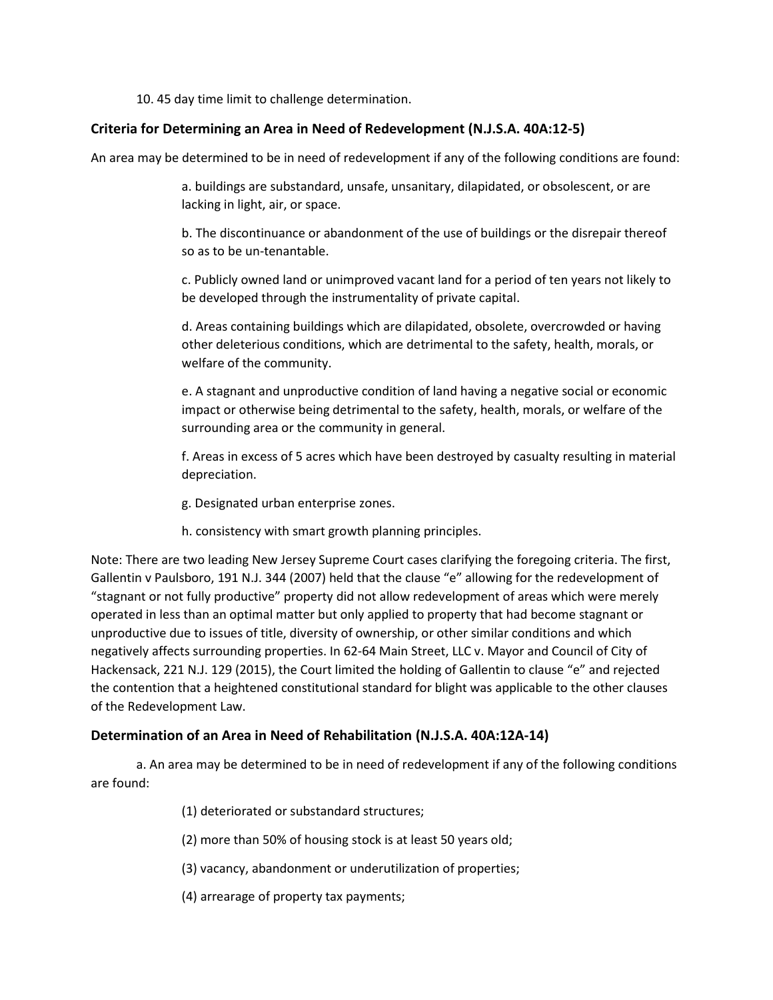10. 45 day time limit to challenge determination.

## Criteria for Determining an Area in Need of Redevelopment (N.J.S.A. 40A:12-5)

An area may be determined to be in need of redevelopment if any of the following conditions are found:

 a. buildings are substandard, unsafe, unsanitary, dilapidated, or obsolescent, or are lacking in light, air, or space.

 b. The discontinuance or abandonment of the use of buildings or the disrepair thereof so as to be un-tenantable.

 c. Publicly owned land or unimproved vacant land for a period of ten years not likely to be developed through the instrumentality of private capital.

 d. Areas containing buildings which are dilapidated, obsolete, overcrowded or having other deleterious conditions, which are detrimental to the safety, health, morals, or welfare of the community.

 e. A stagnant and unproductive condition of land having a negative social or economic impact or otherwise being detrimental to the safety, health, morals, or welfare of the surrounding area or the community in general.

 f. Areas in excess of 5 acres which have been destroyed by casualty resulting in material depreciation.

- g. Designated urban enterprise zones.
- h. consistency with smart growth planning principles.

Note: There are two leading New Jersey Supreme Court cases clarifying the foregoing criteria. The first, Gallentin v Paulsboro, 191 N.J. 344 (2007) held that the clause "e" allowing for the redevelopment of "stagnant or not fully productive" property did not allow redevelopment of areas which were merely operated in less than an optimal matter but only applied to property that had become stagnant or unproductive due to issues of title, diversity of ownership, or other similar conditions and which negatively affects surrounding properties. In 62-64 Main Street, LLC v. Mayor and Council of City of Hackensack, 221 N.J. 129 (2015), the Court limited the holding of Gallentin to clause "e" and rejected the contention that a heightened constitutional standard for blight was applicable to the other clauses of the Redevelopment Law.

### Determination of an Area in Need of Rehabilitation (N.J.S.A. 40A:12A-14)

 a. An area may be determined to be in need of redevelopment if any of the following conditions are found:

- (1) deteriorated or substandard structures;
- (2) more than 50% of housing stock is at least 50 years old;
- (3) vacancy, abandonment or underutilization of properties;
- (4) arrearage of property tax payments;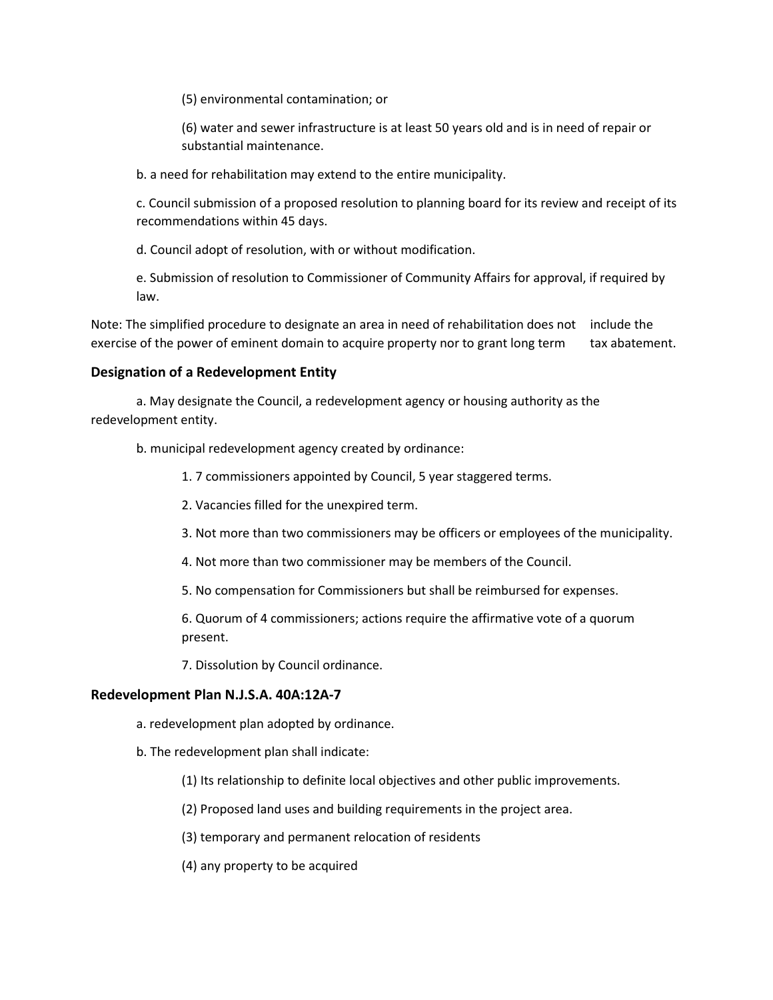(5) environmental contamination; or

 (6) water and sewer infrastructure is at least 50 years old and is in need of repair or substantial maintenance.

b. a need for rehabilitation may extend to the entire municipality.

 c. Council submission of a proposed resolution to planning board for its review and receipt of its recommendations within 45 days.

d. Council adopt of resolution, with or without modification.

 e. Submission of resolution to Commissioner of Community Affairs for approval, if required by law.

Note: The simplified procedure to designate an area in need of rehabilitation does not include the exercise of the power of eminent domain to acquire property nor to grant long term tax abatement.

### Designation of a Redevelopment Entity

 a. May designate the Council, a redevelopment agency or housing authority as the redevelopment entity.

b. municipal redevelopment agency created by ordinance:

1. 7 commissioners appointed by Council, 5 year staggered terms.

- 2. Vacancies filled for the unexpired term.
- 3. Not more than two commissioners may be officers or employees of the municipality.
- 4. Not more than two commissioner may be members of the Council.
- 5. No compensation for Commissioners but shall be reimbursed for expenses.

 6. Quorum of 4 commissioners; actions require the affirmative vote of a quorum present.

7. Dissolution by Council ordinance.

#### Redevelopment Plan N.J.S.A. 40A:12A-7

- a. redevelopment plan adopted by ordinance.
- b. The redevelopment plan shall indicate:
	- (1) Its relationship to definite local objectives and other public improvements.
	- (2) Proposed land uses and building requirements in the project area.
	- (3) temporary and permanent relocation of residents
	- (4) any property to be acquired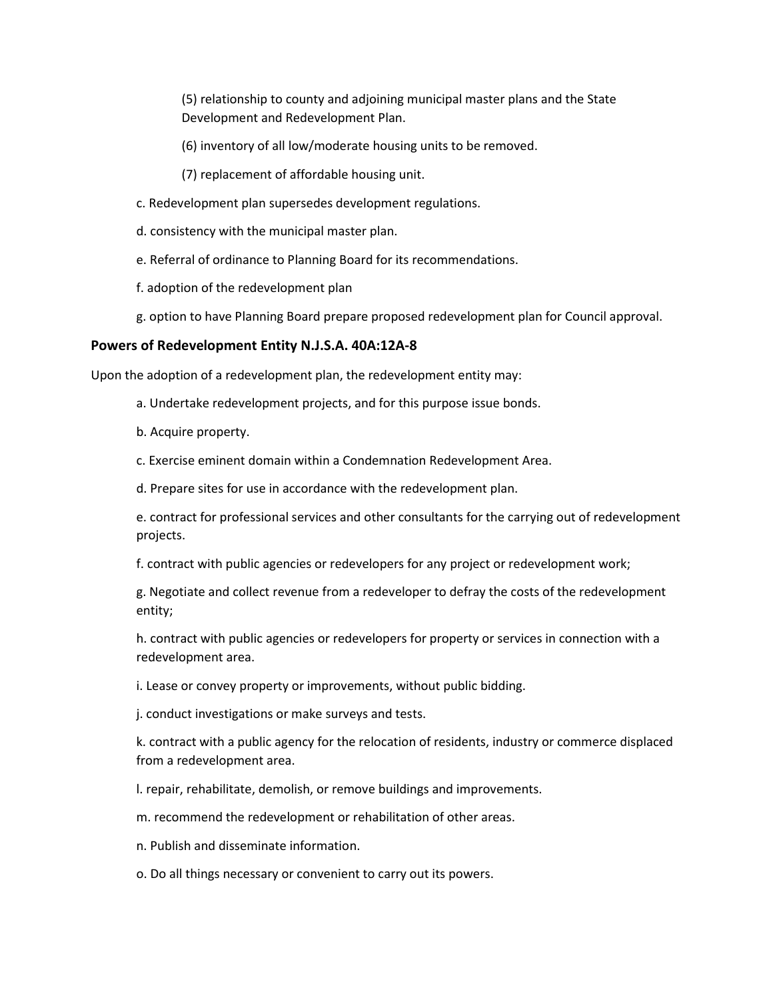(5) relationship to county and adjoining municipal master plans and the State Development and Redevelopment Plan.

- (6) inventory of all low/moderate housing units to be removed.
- (7) replacement of affordable housing unit.
- c. Redevelopment plan supersedes development regulations.
- d. consistency with the municipal master plan.
- e. Referral of ordinance to Planning Board for its recommendations.
- f. adoption of the redevelopment plan
- g. option to have Planning Board prepare proposed redevelopment plan for Council approval.

### Powers of Redevelopment Entity N.J.S.A. 40A:12A-8

Upon the adoption of a redevelopment plan, the redevelopment entity may:

- a. Undertake redevelopment projects, and for this purpose issue bonds.
- b. Acquire property.
- c. Exercise eminent domain within a Condemnation Redevelopment Area.
- d. Prepare sites for use in accordance with the redevelopment plan.

 e. contract for professional services and other consultants for the carrying out of redevelopment projects.

f. contract with public agencies or redevelopers for any project or redevelopment work;

 g. Negotiate and collect revenue from a redeveloper to defray the costs of the redevelopment entity;

 h. contract with public agencies or redevelopers for property or services in connection with a redevelopment area.

i. Lease or convey property or improvements, without public bidding.

j. conduct investigations or make surveys and tests.

 k. contract with a public agency for the relocation of residents, industry or commerce displaced from a redevelopment area.

l. repair, rehabilitate, demolish, or remove buildings and improvements.

m. recommend the redevelopment or rehabilitation of other areas.

- n. Publish and disseminate information.
- o. Do all things necessary or convenient to carry out its powers.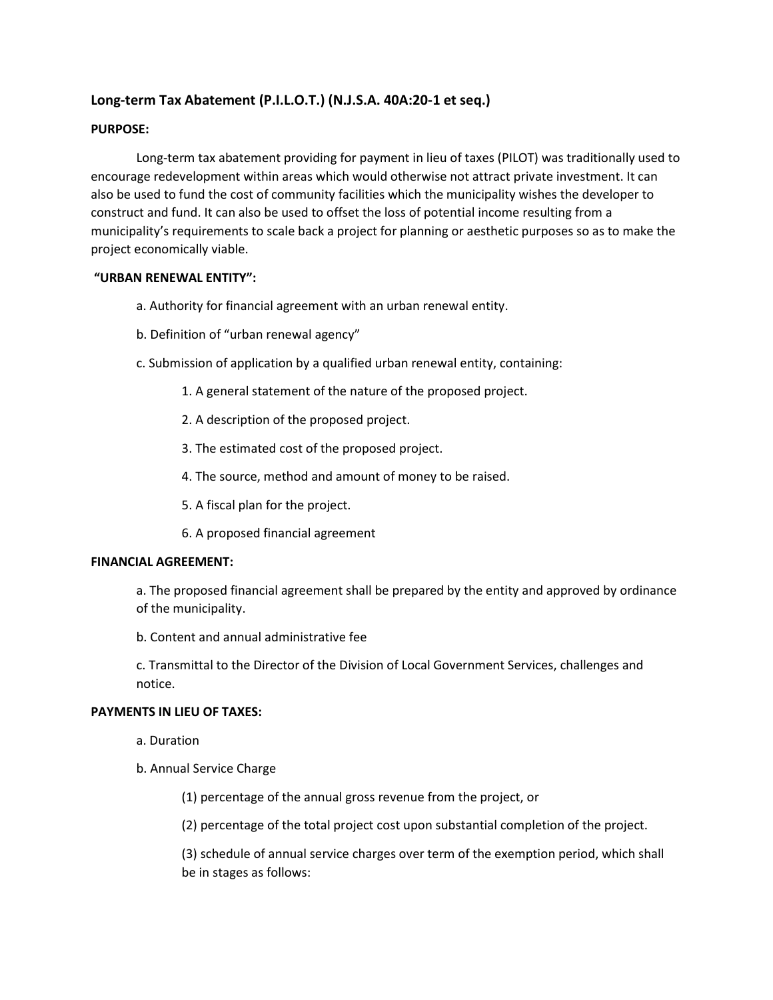# Long-term Tax Abatement (P.I.L.O.T.) (N.J.S.A. 40A:20-1 et seq.)

### PURPOSE:

 Long-term tax abatement providing for payment in lieu of taxes (PILOT) was traditionally used to encourage redevelopment within areas which would otherwise not attract private investment. It can also be used to fund the cost of community facilities which the municipality wishes the developer to construct and fund. It can also be used to offset the loss of potential income resulting from a municipality's requirements to scale back a project for planning or aesthetic purposes so as to make the project economically viable.

### "URBAN RENEWAL ENTITY":

- a. Authority for financial agreement with an urban renewal entity.
- b. Definition of "urban renewal agency"
- c. Submission of application by a qualified urban renewal entity, containing:
	- 1. A general statement of the nature of the proposed project.
	- 2. A description of the proposed project.
	- 3. The estimated cost of the proposed project.
	- 4. The source, method and amount of money to be raised.
	- 5. A fiscal plan for the project.
	- 6. A proposed financial agreement

### FINANCIAL AGREEMENT:

 a. The proposed financial agreement shall be prepared by the entity and approved by ordinance of the municipality.

b. Content and annual administrative fee

 c. Transmittal to the Director of the Division of Local Government Services, challenges and notice.

### PAYMENTS IN LIEU OF TAXES:

- a. Duration
- b. Annual Service Charge

(1) percentage of the annual gross revenue from the project, or

(2) percentage of the total project cost upon substantial completion of the project.

 (3) schedule of annual service charges over term of the exemption period, which shall be in stages as follows: